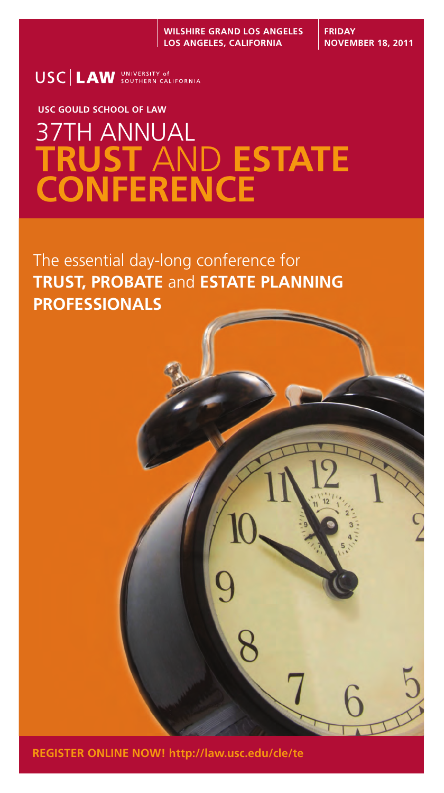USC LAW SOUTHERN CALIFORNIA

# **USC GOULD SCHOOL OF LAW** 37TH ANNUAL **TRUST** AND **ESTATE CONFERENCE**

The essential day-long conference for **TRUST, PROBATE** and **ESTATE PLANNING PROFESSIONALS**



**REGISTER ONLINE NOW! http://law.usc.edu/cle/te**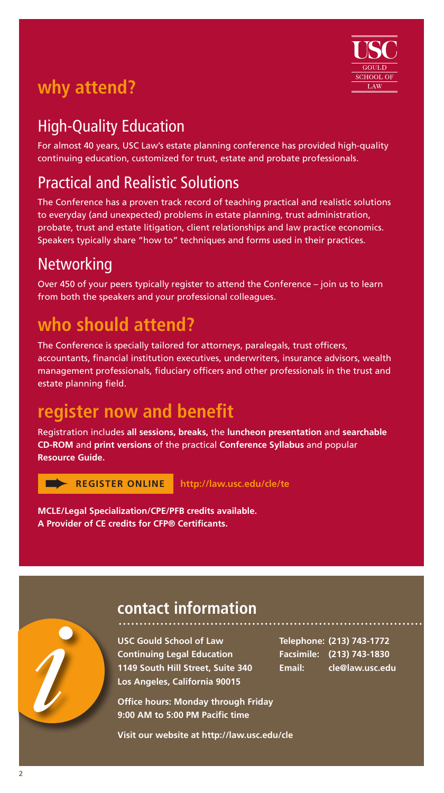# **why attend?**



# High-Quality Education

For almost 40 years, USC Law's estate planning conference has provided high-quality continuing education, customized for trust, estate and probate professionals.

# Practical and Realistic Solutions

The Conference has a proven track record of teaching practical and realistic solutions to everyday (and unexpected) problems in estate planning, trust administration, probate, trust and estate litigation, client relationships and law practice economics. Speakers typically share "how to" techniques and forms used in their practices.

# **Networking**

Over 450 of your peers typically register to attend the Conference – join us to learn from both the speakers and your professional colleagues.

# **who should attend?**

The Conference is specially tailored for attorneys, paralegals, trust officers, accountants, financial institution executives, underwriters, insurance advisors, wealth management professionals, fiduciary officers and other professionals in the trust and estate planning field.

# **register now and benefit**

Registration includes **all sessions, breaks,** the **luncheon presentation** and **searchable CD-ROM** and **print versions** of the practical **Conference Syllabus** and popular **Resource Guide.** 

➨ **REGISTER ONLINE http://law.usc.edu/cle/te** 

**MCLE/Legal Specialization/CPE/PFB credits available. A Provider of CE credits for CFP® Certificants.** 



# **contact information**

**USC Gould School of Law Continuing Legal Education 1149 South Hill Street, Suite 340 Los Angeles, California 90015**

**Office hours: Monday through Friday 9:00 AM to 5:00 PM Pacific time**

**Visit our website at http://law.usc.edu/cle**

**Telephone: (213) 743-1772 Facsimile: (213) 743-1830 Email: cle@law.usc.edu**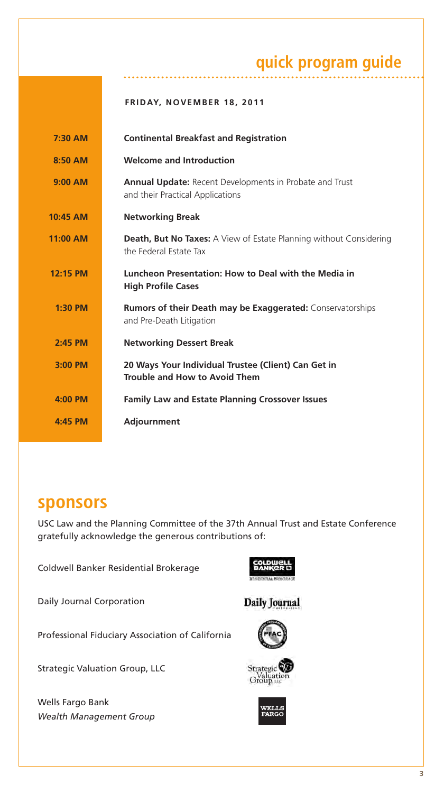# **quick program guide**

|  | <b>FRIDAY, NOVEMBER 18, 2011</b> |  |
|--|----------------------------------|--|
|  |                                  |  |

| 7:30 AM   | <b>Continental Breakfast and Registration</b>                                                       |
|-----------|-----------------------------------------------------------------------------------------------------|
| 8:50 AM   | <b>Welcome and Introduction</b>                                                                     |
| $9:00$ AM | <b>Annual Update:</b> Recent Developments in Probate and Trust<br>and their Practical Applications  |
| 10:45 AM  | <b>Networking Break</b>                                                                             |
| 11:00 AM  | <b>Death, But No Taxes:</b> A View of Estate Planning without Considering<br>the Federal Estate Tax |
| 12:15 PM  | Luncheon Presentation: How to Deal with the Media in<br><b>High Profile Cases</b>                   |
| $1:30$ PM | <b>Rumors of their Death may be Exaggerated:</b> Conservatorships<br>and Pre-Death Litigation       |
| 2:45 PM   | <b>Networking Dessert Break</b>                                                                     |
| 3:00 PM   | 20 Ways Your Individual Trustee (Client) Can Get in<br>Trouble and How to Avoid Them                |
| $4:00$ PM | <b>Family Law and Estate Planning Crossover Issues</b>                                              |
| 4:45 PM   | Adjournment                                                                                         |

## **sponsors**

USC Law and the Planning Committee of the 37th Annual Trust and Estate Conference gratefully acknowledge the generous contributions of:

Coldwell Banker Residential Brokerage

Daily Journal Corporation

Professional Fiduciary Association of California

Strategic Valuation Group, LLC

Wells Fargo Bank *Wealth Management Group*



#### Daily Journal





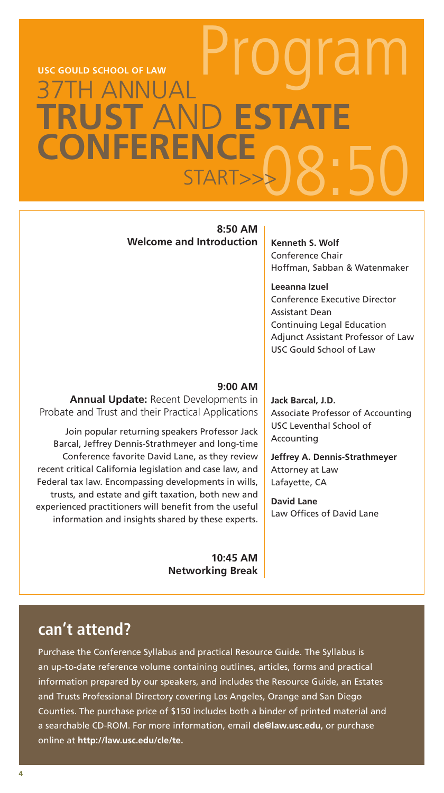# NI TAT **RUST AND ESTAT CONFERENCE** rar START>>>08:50 **USC GOULD SCHOOL OF LAW**

#### **8:50 AM Welcome and Introduction Kenneth S. Wolf**

Conference Chair Hoffman, Sabban & Watenmaker

**Leeanna Izuel** Conference Executive Director Assistant Dean Continuing Legal Education Adjunct Assistant Professor of Law USC Gould School of Law

#### **9:00 AM**

**Annual Update:** Recent Developments in Probate and Trust and their Practical Applications

Join popular returning speakers Professor Jack Barcal, Jeffrey Dennis-Strathmeyer and long-time Conference favorite David Lane, as they review recent critical California legislation and case law, and Federal tax law. Encompassing developments in wills, trusts, and estate and gift taxation, both new and experienced practitioners will benefit from the useful information and insights shared by these experts.

> **10:45 AM Networking Break**

**Jack Barcal, J.D.** Associate Professor of Accounting USC Leventhal School of Accounting

**Jeffrey A. Dennis-Strathmeyer**  Attorney at Law Lafayette, CA

**David Lane** Law Offices of David Lane

### **can't attend?**

Purchase the Conference Syllabus and practical Resource Guide. The Syllabus is an up-to-date reference volume containing outlines, articles, forms and practical information prepared by our speakers, and includes the Resource Guide, an Estates and Trusts Professional Directory covering Los Angeles, Orange and San Diego Counties. The purchase price of \$150 includes both a binder of printed material and a searchable CD-ROM. For more information, email **cle@law.usc.edu,** or purchase online at **http://law.usc.edu/cle/te.**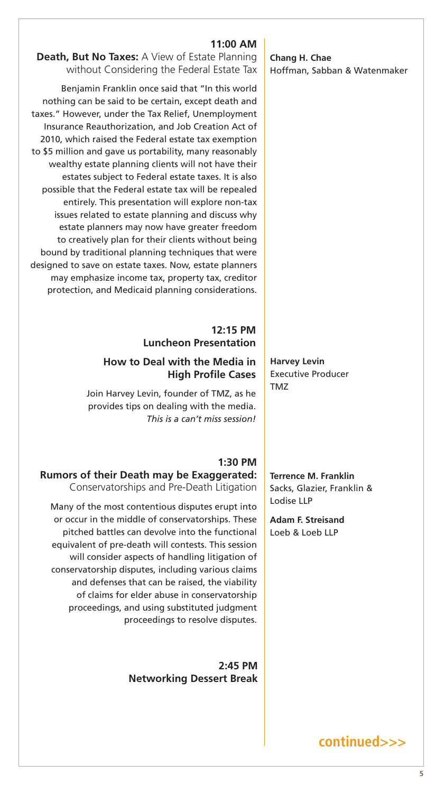**Chang H. Chae** Hoffman, Sabban & Watenmaker

#### **11:00 AM**

**Death, But No Taxes:** A View of Estate Planning without Considering the Federal Estate Tax

Benjamin Franklin once said that "In this world nothing can be said to be certain, except death and taxes." However, under the Tax Relief, Unemployment Insurance Reauthorization, and Job Creation Act of 2010, which raised the Federal estate tax exemption to \$5 million and gave us portability, many reasonably wealthy estate planning clients will not have their estates subject to Federal estate taxes. It is also possible that the Federal estate tax will be repealed entirely. This presentation will explore non-tax issues related to estate planning and discuss why estate planners may now have greater freedom to creatively plan for their clients without being bound by traditional planning techniques that were designed to save on estate taxes. Now, estate planners may emphasize income tax, property tax, creditor protection, and Medicaid planning considerations.

#### **12:15 PM Luncheon Presentation**

#### **How to Deal with the Media in High Profile Cases**

Join Harvey Levin, founder of TMZ, as he provides tips on dealing with the media. *This is a can't miss session!*

#### **1:30 PM Rumors of their Death may be Exaggerated:**  Conservatorships and Pre-Death Litigation

Many of the most contentious disputes erupt into or occur in the middle of conservatorships. These pitched battles can devolve into the functional equivalent of pre-death will contests. This session will consider aspects of handling litigation of conservatorship disputes, including various claims and defenses that can be raised, the viability of claims for elder abuse in conservatorship proceedings, and using substituted judgment proceedings to resolve disputes.

> **2:45 PM Networking Dessert Break**

**Harvey Levin** Executive Producer TMZ

**Terrence M. Franklin** Sacks, Glazier, Franklin & Lodise LLP

**Adam F. Streisand** Loeb & Loeb LLP

**continued>>>**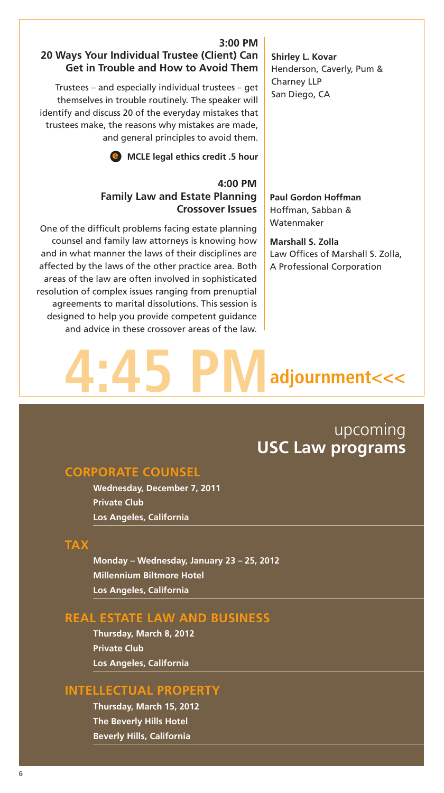#### **3:00 PM 20 Ways Your Individual Trustee (Client) Can Get in Trouble and How to Avoid Them**

Trustees – and especially individual trustees – get themselves in trouble routinely. The speaker will identify and discuss 20 of the everyday mistakes that trustees make, the reasons why mistakes are made, and general principles to avoid them.

e **MCLE legal ethics credit .5 hour**

#### **4:00 PM Family Law and Estate Planning Crossover Issues**

One of the difficult problems facing estate planning counsel and family law attorneys is knowing how and in what manner the laws of their disciplines are affected by the laws of the other practice area. Both areas of the law are often involved in sophisticated resolution of complex issues ranging from prenuptial agreements to marital dissolutions. This session is designed to help you provide competent guidance and advice in these crossover areas of the law.

#### **Shirley L. Kovar** Henderson, Caverly, Pum & Charney LLP San Diego, CA

**Paul Gordon Hoffman** Hoffman, Sabban & Watenmaker

**Marshall S. Zolla** Law Offices of Marshall S. Zolla, A Professional Corporation

# adjournment<<<

## upcoming **USC Law programs**

#### **CORPORATE COUNSEL**

**Wednesday, December 7, 2011 Private Club Los Angeles, California**

#### **TAX**

**Monday – Wednesday, January 23 – 25, 2012 Millennium Biltmore Hotel Los Angeles, California**

#### **REAL ESTATE LAW AND BUSINESS**

**Thursday, March 8, 2012 Private Club Los Angeles, California**

#### **INTELLECTUAL PROPERTY**

**Thursday, March 15, 2012 The Beverly Hills Hotel Beverly Hills, California**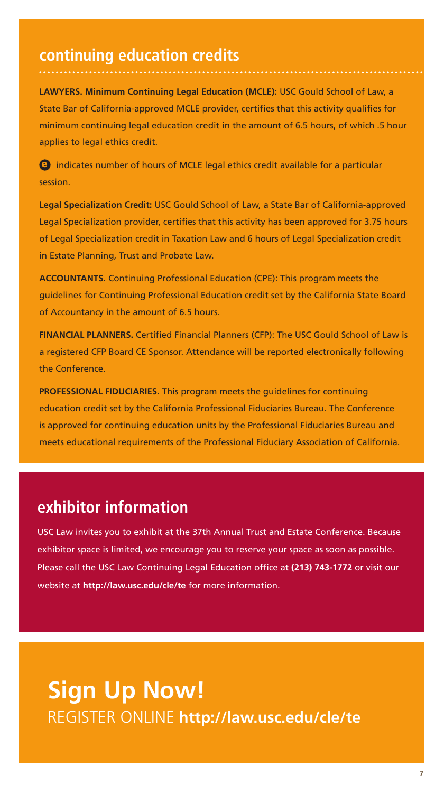# **continuing education credits**

**LAWYERS. Minimum Continuing Legal Education (MCLE):** USC Gould School of Law, a State Bar of California-approved MCLE provider, certifies that this activity qualifies for minimum continuing legal education credit in the amount of 6.5 hours, of which .5 hour applies to legal ethics credit.

e indicates number of hours of MCLE legal ethics credit available for a particular session.

**Legal Specialization Credit:** USC Gould School of Law, a State Bar of California-approved Legal Specialization provider, certifies that this activity has been approved for 3.75 hours of Legal Specialization credit in Taxation Law and 6 hours of Legal Specialization credit in Estate Planning, Trust and Probate Law.

**ACCOUNTANTS.** Continuing Professional Education (CPE): This program meets the guidelines for Continuing Professional Education credit set by the California State Board of Accountancy in the amount of 6.5 hours.

**FINANCIAL PLANNERS.** Certified Financial Planners (CFP): The USC Gould School of Law is a registered CFP Board CE Sponsor. Attendance will be reported electronically following the Conference.

**PROFESSIONAL FIDUCIARIES.** This program meets the guidelines for continuing education credit set by the California Professional Fiduciaries Bureau. The Conference is approved for continuing education units by the Professional Fiduciaries Bureau and meets educational requirements of the Professional Fiduciary Association of California.

# **exhibitor information**

USC Law invites you to exhibit at the 37th Annual Trust and Estate Conference. Because exhibitor space is limited, we encourage you to reserve your space as soon as possible. Please call the USC Law Continuing Legal Education office at **(213) 743-1772** or visit our website at **http://law.usc.edu/cle/te** for more information.

# **Sign Up Now!** REGISTER ONLINE **http://law.usc.edu/cle/te**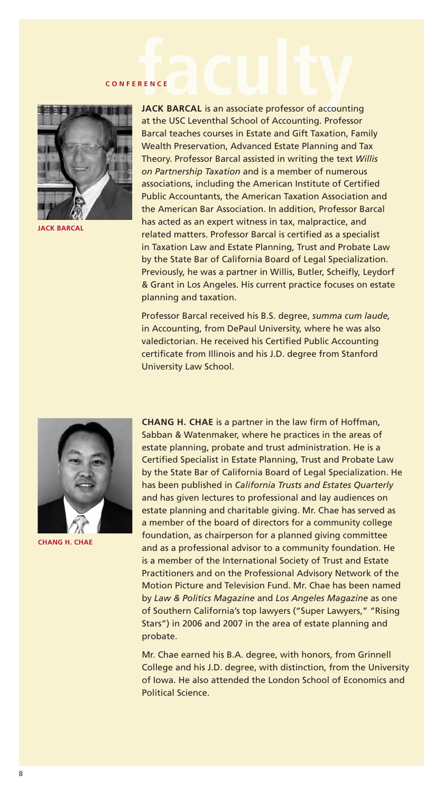# **CONFERENCE**



**JACK BARCAL**

**JACK BARCAL** is an associate professor of accounting at the USC Leventhal School of Accounting. Professor Barcal teaches courses in Estate and Gift Taxation, Family Wealth Preservation, Advanced Estate Planning and Tax Theory. Professor Barcal assisted in writing the text *Willis on Partnership Taxation* and is a member of numerous associations, including the American Institute of Certified Public Accountants, the American Taxation Association and the American Bar Association. In addition, Professor Barcal has acted as an expert witness in tax, malpractice, and related matters. Professor Barcal is certified as a specialist in Taxation Law and Estate Planning, Trust and Probate Law by the State Bar of California Board of Legal Specialization. Previously, he was a partner in Willis, Butler, Scheifly, Leydorf & Grant in Los Angeles. His current practice focuses on estate planning and taxation.

Professor Barcal received his B.S. degree, *summa cum laude,*  in Accounting, from DePaul University, where he was also valedictorian. He received his Certified Public Accounting certificate from Illinois and his J.D. degree from Stanford University Law School.



**CHANG H. CHAE**

**CHANG H. CHAE** is a partner in the law firm of Hoffman, Sabban & Watenmaker, where he practices in the areas of estate planning, probate and trust administration. He is a Certified Specialist in Estate Planning, Trust and Probate Law by the State Bar of California Board of Legal Specialization. He has been published in *California Trusts and Estates Quarterly*  and has given lectures to professional and lay audiences on estate planning and charitable giving. Mr. Chae has served as a member of the board of directors for a community college foundation, as chairperson for a planned giving committee and as a professional advisor to a community foundation. He is a member of the International Society of Trust and Estate Practitioners and on the Professional Advisory Network of the Motion Picture and Television Fund. Mr. Chae has been named by *Law & Politics Magazine* and *Los Angeles Magazine* as one of Southern California's top lawyers ("Super Lawyers," "Rising Stars") in 2006 and 2007 in the area of estate planning and probate.

Mr. Chae earned his B.A. degree, with honors, from Grinnell College and his J.D. degree, with distinction, from the University of Iowa. He also attended the London School of Economics and Political Science.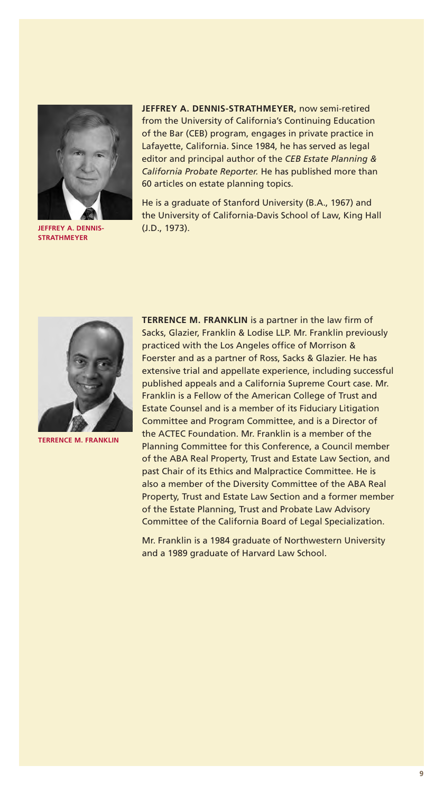

**JEFFREY A. DENNIS-STRATHMEYER**

**JEFFREY A. DENNIS-STRATHMEYER,** now semi-retired from the University of California's Continuing Education of the Bar (CEB) program, engages in private practice in Lafayette, California. Since 1984, he has served as legal editor and principal author of the *CEB Estate Planning & California Probate Reporter.* He has published more than 60 articles on estate planning topics.

He is a graduate of Stanford University (B.A., 1967) and the University of California-Davis School of Law, King Hall (J.D., 1973).



**TERRENCE M. FRANKLIN** 

**TERRENCE M. FRANKLIN** is a partner in the law firm of Sacks, Glazier, Franklin & Lodise LLP. Mr. Franklin previously practiced with the Los Angeles office of Morrison & Foerster and as a partner of Ross, Sacks & Glazier. He has extensive trial and appellate experience, including successful published appeals and a California Supreme Court case. Mr. Franklin is a Fellow of the American College of Trust and Estate Counsel and is a member of its Fiduciary Litigation Committee and Program Committee, and is a Director of the ACTEC Foundation. Mr. Franklin is a member of the Planning Committee for this Conference, a Council member of the ABA Real Property, Trust and Estate Law Section, and past Chair of its Ethics and Malpractice Committee. He is also a member of the Diversity Committee of the ABA Real Property, Trust and Estate Law Section and a former member of the Estate Planning, Trust and Probate Law Advisory Committee of the California Board of Legal Specialization.

Mr. Franklin is a 1984 graduate of Northwestern University and a 1989 graduate of Harvard Law School.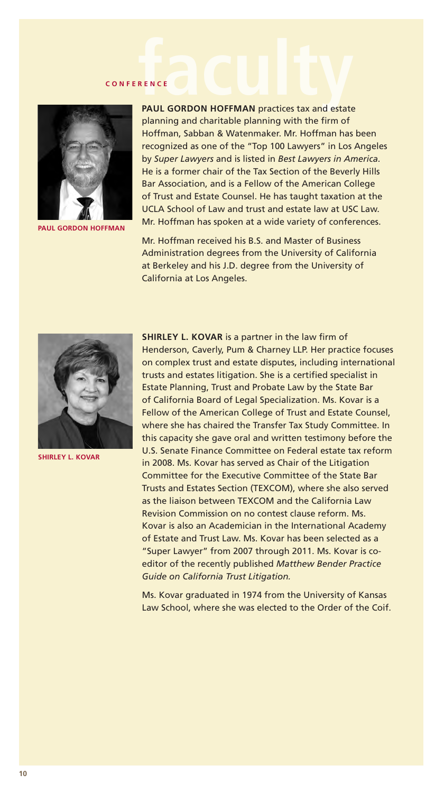# **FACULTS CONFERENCE**



**PAUL GORDON HOFFMAN**

**PAUL GORDON HOFFMAN** practices tax and estate planning and charitable planning with the firm of Hoffman, Sabban & Watenmaker. Mr. Hoffman has been recognized as one of the "Top 100 Lawyers" in Los Angeles by *Super Lawyers* and is listed in *Best Lawyers in America.* He is a former chair of the Tax Section of the Beverly Hills Bar Association, and is a Fellow of the American College of Trust and Estate Counsel. He has taught taxation at the UCLA School of Law and trust and estate law at USC Law. Mr. Hoffman has spoken at a wide variety of conferences.

Mr. Hoffman received his B.S. and Master of Business Administration degrees from the University of California at Berkeley and his J.D. degree from the University of California at Los Angeles.



**SHIRLEY L. KOVAR**

**SHIRLEY L. KOVAR** is a partner in the law firm of Henderson, Caverly, Pum & Charney LLP. Her practice focuses on complex trust and estate disputes, including international trusts and estates litigation. She is a certified specialist in Estate Planning, Trust and Probate Law by the State Bar of California Board of Legal Specialization. Ms. Kovar is a Fellow of the American College of Trust and Estate Counsel, where she has chaired the Transfer Tax Study Committee. In this capacity she gave oral and written testimony before the U.S. Senate Finance Committee on Federal estate tax reform in 2008. Ms. Kovar has served as Chair of the Litigation Committee for the Executive Committee of the State Bar Trusts and Estates Section (TEXCOM), where she also served as the liaison between TEXCOM and the California Law Revision Commission on no contest clause reform. Ms. Kovar is also an Academician in the International Academy of Estate and Trust Law. Ms. Kovar has been selected as a "Super Lawyer" from 2007 through 2011. Ms. Kovar is coeditor of the recently published *Matthew Bender Practice Guide on California Trust Litigation.*

Ms. Kovar graduated in 1974 from the University of Kansas Law School, where she was elected to the Order of the Coif.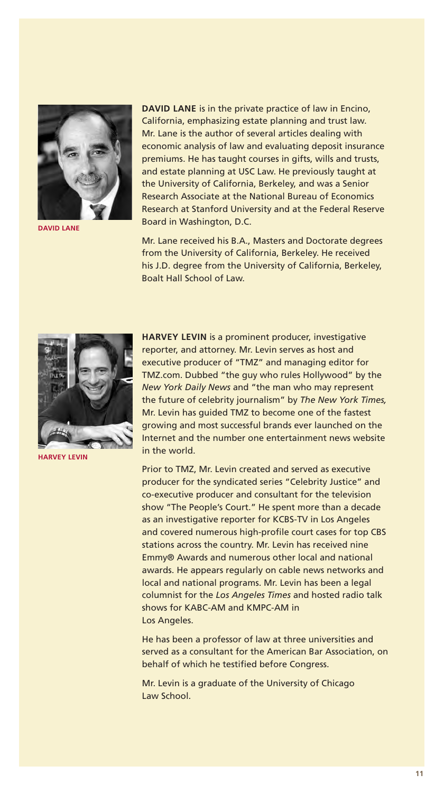

**DAVID LANE** 

**DAVID LANE** is in the private practice of law in Encino, California, emphasizing estate planning and trust law. Mr. Lane is the author of several articles dealing with economic analysis of law and evaluating deposit insurance premiums. He has taught courses in gifts, wills and trusts, and estate planning at USC Law. He previously taught at the University of California, Berkeley, and was a Senior Research Associate at the National Bureau of Economics Research at Stanford University and at the Federal Reserve Board in Washington, D.C.

Mr. Lane received his B.A., Masters and Doctorate degrees from the University of California, Berkeley. He received his J.D. degree from the University of California, Berkeley, Boalt Hall School of Law.



**HARVEY LEVIN** 

**HARVEY LEVIN** is a prominent producer, investigative reporter, and attorney. Mr. Levin serves as host and executive producer of "TMZ" and managing editor for TMZ.com. Dubbed "the guy who rules Hollywood" by the *New York Daily News* and "the man who may represent the future of celebrity journalism" by *The New York Times,* Mr. Levin has guided TMZ to become one of the fastest growing and most successful brands ever launched on the Internet and the number one entertainment news website in the world.

Prior to TMZ, Mr. Levin created and served as executive producer for the syndicated series "Celebrity Justice" and co-executive producer and consultant for the television show "The People's Court." He spent more than a decade as an investigative reporter for KCBS-TV in Los Angeles and covered numerous high-profile court cases for top CBS stations across the country. Mr. Levin has received nine Emmy® Awards and numerous other local and national awards. He appears regularly on cable news networks and local and national programs. Mr. Levin has been a legal columnist for the *Los Angeles Times* and hosted radio talk shows for KABC-AM and KMPC-AM in Los Angeles.

He has been a professor of law at three universities and served as a consultant for the American Bar Association, on behalf of which he testified before Congress.

Mr. Levin is a graduate of the University of Chicago Law School.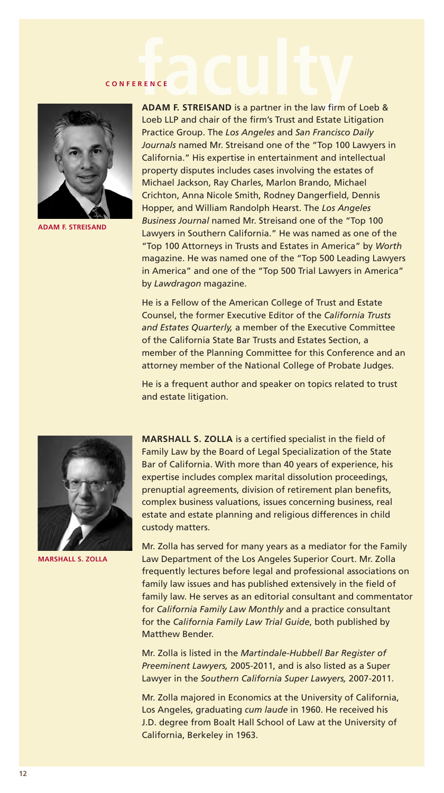![](_page_11_Picture_1.jpeg)

**ADAM F. STREISAND** 

**CONFERENCE**<br>**faculty ADAM F. STREISAND** is a partner in the law firm of Loeb & Loeb LLP and chair of the firm's Trust and Estate Litigation Practice Group. The *Los Angeles* and *San Francisco Daily Journals* named Mr. Streisand one of the "Top 100 Lawyers in California." His expertise in entertainment and intellectual property disputes includes cases involving the estates of Michael Jackson, Ray Charles, Marlon Brando, Michael Crichton, Anna Nicole Smith, Rodney Dangerfield, Dennis Hopper, and William Randolph Hearst. The *Los Angeles Business Journal* named Mr. Streisand one of the "Top 100 Lawyers in Southern California." He was named as one of the "Top 100 Attorneys in Trusts and Estates in America" by *Worth* magazine. He was named one of the "Top 500 Leading Lawyers in America" and one of the "Top 500 Trial Lawyers in America" by *Lawdragon* magazine.

> He is a Fellow of the American College of Trust and Estate Counsel, the former Executive Editor of the *California Trusts and Estates Quarterly,* a member of the Executive Committee of the California State Bar Trusts and Estates Section, a member of the Planning Committee for this Conference and an attorney member of the National College of Probate Judges.

He is a frequent author and speaker on topics related to trust and estate litigation.

![](_page_11_Picture_6.jpeg)

**MARSHALL S. ZOLLA** 

**MARSHALL S. ZOLLA** is a certified specialist in the field of Family Law by the Board of Legal Specialization of the State Bar of California. With more than 40 years of experience, his expertise includes complex marital dissolution proceedings, prenuptial agreements, division of retirement plan benefits, complex business valuations, issues concerning business, real estate and estate planning and religious differences in child custody matters.

Mr. Zolla has served for many years as a mediator for the Family Law Department of the Los Angeles Superior Court. Mr. Zolla frequently lectures before legal and professional associations on family law issues and has published extensively in the field of family law. He serves as an editorial consultant and commentator for *California Family Law Monthly* and a practice consultant for the *California Family Law Trial Guide*, both published by Matthew Bender.

Mr. Zolla is listed in the *Martindale-Hubbell Bar Register of Preeminent Lawyers,* 2005-2011, and is also listed as a Super Lawyer in the *Southern California Super Lawyers,* 2007-2011.

Mr. Zolla majored in Economics at the University of California, Los Angeles, graduating *cum laude* in 1960. He received his J.D. degree from Boalt Hall School of Law at the University of California, Berkeley in 1963.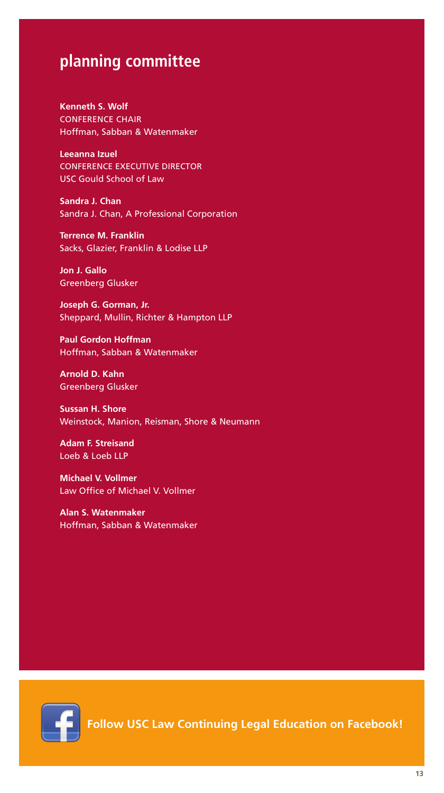## **planning committee**

**Kenneth S. Wolf** CONFERENCE CHAIR Hoffman, Sabban & Watenmaker

**Leeanna Izuel** CONFERENCE EXECUTIVE DIRECTOR USC Gould School of Law

**Sandra J. Chan** Sandra J. Chan, A Professional Corporation

**Terrence M. Franklin** Sacks, Glazier, Franklin & Lodise LLP

**Jon J. Gallo** Greenberg Glusker

**Joseph G. Gorman, Jr.** Sheppard, Mullin, Richter & Hampton LLP

**Paul Gordon Hoffman** Hoffman, Sabban & Watenmaker

**Arnold D. Kahn** Greenberg Glusker

**Sussan H. Shore** Weinstock, Manion, Reisman, Shore & Neumann

**Adam F. Streisand** Loeb & Loeb LLP

**Michael V. Vollmer** Law Office of Michael V. Vollmer

**Alan S. Watenmaker** Hoffman, Sabban & Watenmaker

![](_page_12_Picture_13.jpeg)

**Follow USC Law Continuing Legal Education on Facebook!**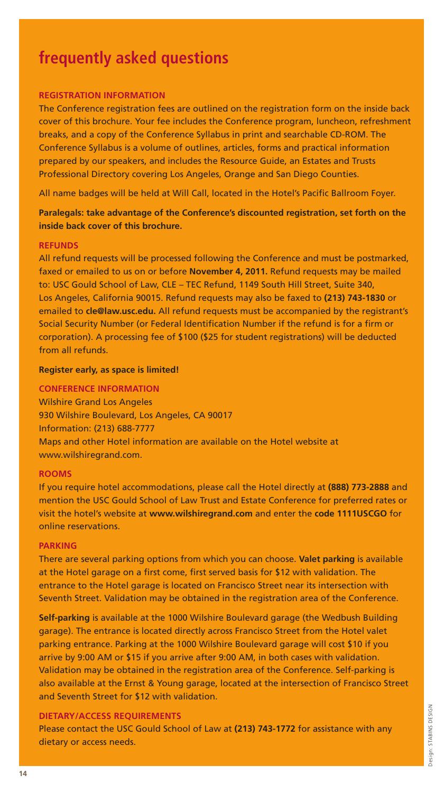# **frequently asked questions**

#### **REGISTRATION INFORMATION**

The Conference registration fees are outlined on the registration form on the inside back cover of this brochure. Your fee includes the Conference program, luncheon, refreshment breaks, and a copy of the Conference Syllabus in print and searchable CD-ROM. The Conference Syllabus is a volume of outlines, articles, forms and practical information prepared by our speakers, and includes the Resource Guide, an Estates and Trusts Professional Directory covering Los Angeles, Orange and San Diego Counties.

All name badges will be held at Will Call, located in the Hotel's Pacific Ballroom Foyer.

#### **Paralegals: take advantage of the Conference's discounted registration, set forth on the inside back cover of this brochure.**

#### **REFUNDS**

All refund requests will be processed following the Conference and must be postmarked, faxed or emailed to us on or before **November 4, 2011.** Refund requests may be mailed to: USC Gould School of Law, CLE – TEC Refund, 1149 South Hill Street, Suite 340, Los Angeles, California 90015. Refund requests may also be faxed to **(213) 743-1830** or emailed to **cle@law.usc.edu.** All refund requests must be accompanied by the registrant's Social Security Number (or Federal Identification Number if the refund is for a firm or corporation). A processing fee of \$100 (\$25 for student registrations) will be deducted from all refunds.

#### **Register early, as space is limited!**

#### **CONFERENCE INFORMATION**

Wilshire Grand Los Angeles 930 Wilshire Boulevard, Los Angeles, CA 90017 Information: (213) 688-7777 Maps and other Hotel information are available on the Hotel website at www.wilshiregrand.com.

#### **ROOMS**

If you require hotel accommodations, please call the Hotel directly at **(888) 773-2888** and mention the USC Gould School of Law Trust and Estate Conference for preferred rates or visit the hotel's website at **www.wilshiregrand.com** and enter the **code 1111USCGO** for online reservations.

#### **PARKING**

There are several parking options from which you can choose. **Valet parking** is available at the Hotel garage on a first come, first served basis for \$12 with validation. The entrance to the Hotel garage is located on Francisco Street near its intersection with Seventh Street. Validation may be obtained in the registration area of the Conference.

**Self-parking** is available at the 1000 Wilshire Boulevard garage (the Wedbush Building garage). The entrance is located directly across Francisco Street from the Hotel valet parking entrance. Parking at the 1000 Wilshire Boulevard garage will cost \$10 if you arrive by 9:00 AM or \$15 if you arrive after 9:00 AM, in both cases with validation. Validation may be obtained in the registration area of the Conference. Self-parking is also available at the Ernst & Young garage, located at the intersection of Francisco Street and Seventh Street for \$12 with validation.

#### **DIETARY/ACCESS REQUIREMENTS**

Please contact the USC Gould School of Law at **(213) 743-1772** for assistance with any dietary or access needs.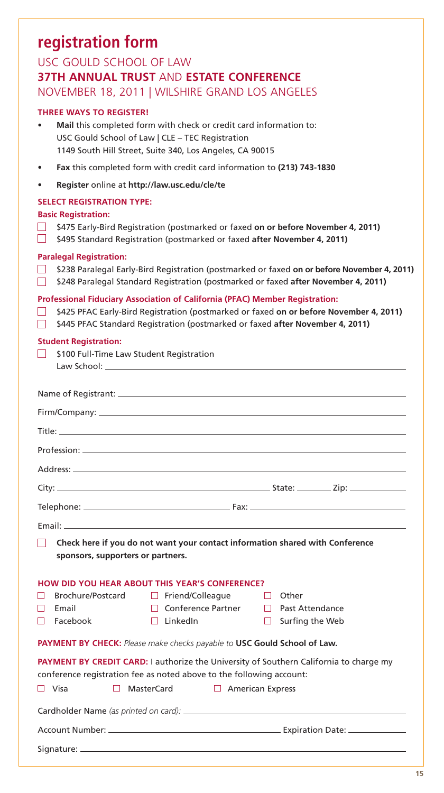# **registration form**